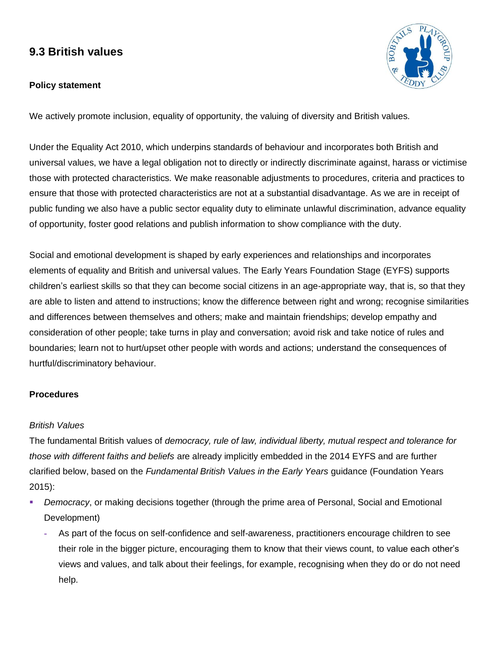# **9.3 British values**

### **Policy statement**



We actively promote inclusion, equality of opportunity, the valuing of diversity and British values.

Under the Equality Act 2010, which underpins standards of behaviour and incorporates both British and universal values, we have a legal obligation not to directly or indirectly discriminate against, harass or victimise those with protected characteristics. We make reasonable adjustments to procedures, criteria and practices to ensure that those with protected characteristics are not at a substantial disadvantage. As we are in receipt of public funding we also have a public sector equality duty to eliminate unlawful discrimination, advance equality of opportunity, foster good relations and publish information to show compliance with the duty.

Social and emotional development is shaped by early experiences and relationships and incorporates elements of equality and British and universal values. The Early Years Foundation Stage (EYFS) supports children's earliest skills so that they can become social citizens in an age-appropriate way, that is, so that they are able to listen and attend to instructions; know the difference between right and wrong; recognise similarities and differences between themselves and others; make and maintain friendships; develop empathy and consideration of other people; take turns in play and conversation; avoid risk and take notice of rules and boundaries; learn not to hurt/upset other people with words and actions; understand the consequences of hurtful/discriminatory behaviour.

#### **Procedures**

#### *British Values*

The fundamental British values of *democracy, rule of law, individual liberty, mutual respect and tolerance for those with different faiths and beliefs* are already implicitly embedded in the 2014 EYFS and are further clarified below, based on the *Fundamental British Values in the Early Years* guidance (Foundation Years 2015):

- **Democracy, or making decisions together (through the prime area of Personal, Social and Emotional** Development)
	- **-** As part of the focus on self-confidence and self-awareness, practitioners encourage children to see their role in the bigger picture, encouraging them to know that their views count, to value each other's views and values, and talk about their feelings, for example, recognising when they do or do not need help.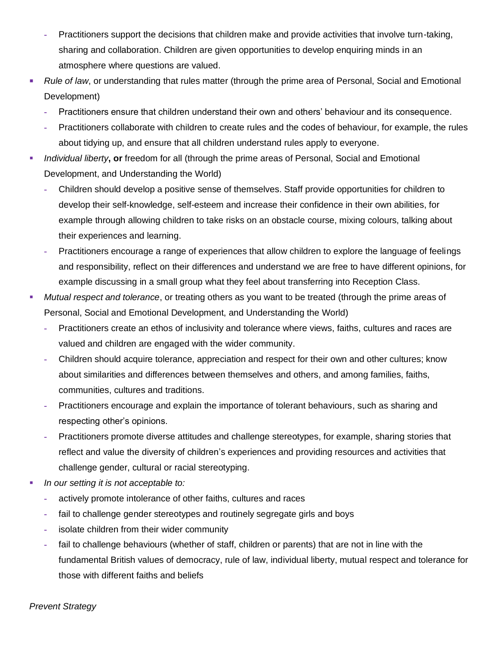- **-** Practitioners support the decisions that children make and provide activities that involve turn-taking, sharing and collaboration. Children are given opportunities to develop enquiring minds in an atmosphere where questions are valued.
- *Rule of law*, or understanding that rules matter (through the prime area of Personal, Social and Emotional Development)
	- **-** Practitioners ensure that children understand their own and others' behaviour and its consequence.
	- **-** Practitioners collaborate with children to create rules and the codes of behaviour, for example, the rules about tidying up, and ensure that all children understand rules apply to everyone.
- *Individual liberty***, or** freedom for all (through the prime areas of Personal, Social and Emotional Development, and Understanding the World)
	- **-** Children should develop a positive sense of themselves. Staff provide opportunities for children to develop their self-knowledge, self-esteem and increase their confidence in their own abilities, for example through allowing children to take risks on an obstacle course, mixing colours, talking about their experiences and learning.
	- **-** Practitioners encourage a range of experiences that allow children to explore the language of feelings and responsibility, reflect on their differences and understand we are free to have different opinions, for example discussing in a small group what they feel about transferring into Reception Class.
- *Mutual respect and tolerance*, or treating others as you want to be treated (through the prime areas of Personal, Social and Emotional Development, and Understanding the World)
	- **-** Practitioners create an ethos of inclusivity and tolerance where views, faiths, cultures and races are valued and children are engaged with the wider community.
	- **-** Children should acquire tolerance, appreciation and respect for their own and other cultures; know about similarities and differences between themselves and others, and among families, faiths, communities, cultures and traditions.
	- **-** Practitioners encourage and explain the importance of tolerant behaviours, such as sharing and respecting other's opinions.
	- **-** Practitioners promote diverse attitudes and challenge stereotypes, for example, sharing stories that reflect and value the diversity of children's experiences and providing resources and activities that challenge gender, cultural or racial stereotyping.
- *In our setting it is not acceptable to:*
	- **-** actively promote intolerance of other faiths, cultures and races
	- **-** fail to challenge gender stereotypes and routinely segregate girls and boys
	- **-** isolate children from their wider community
	- **-** fail to challenge behaviours (whether of staff, children or parents) that are not in line with the fundamental British values of democracy, rule of law, individual liberty, mutual respect and tolerance for those with different faiths and beliefs